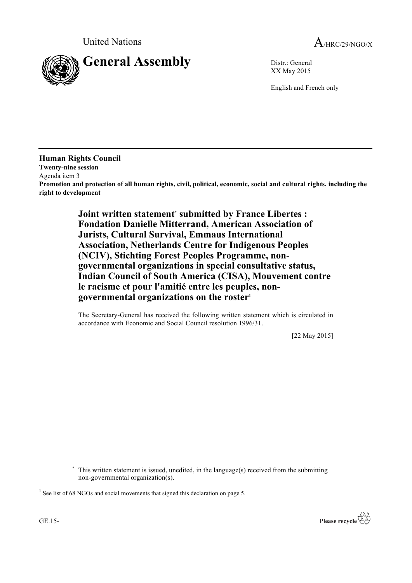

XX May 2015

English and French only

**Human Rights Council Twenty-nine session** Agenda item 3 **Promotion and protection of all human rights, civil, political, economic, social and cultural rights, including the right to development**

> **Joint written statement**\* **submitted by France Libertes : Fondation Danielle Mitterrand, American Association of Jurists, Cultural Survival, Emmaus International Association, Netherlands Centre for Indigenous Peoples (NCIV), Stichting Forest Peoples Programme, nongovernmental organizations in special consultative status, Indian Council of South America (CISA), Mouvement contre le racisme et pour l'amitié entre les peuples, nongovernmental organizations on the roster1**

The Secretary-General has received the following written statement which is circulated in accordance with Economic and Social Council resolution 1996/31.

[22 May 2015]

\* This written statement is issued, unedited, in the language(s) received from the submitting non-governmental organization(s).



<sup>&</sup>lt;sup>1</sup> See list of 68 NGOs and social movements that signed this declaration on page 5.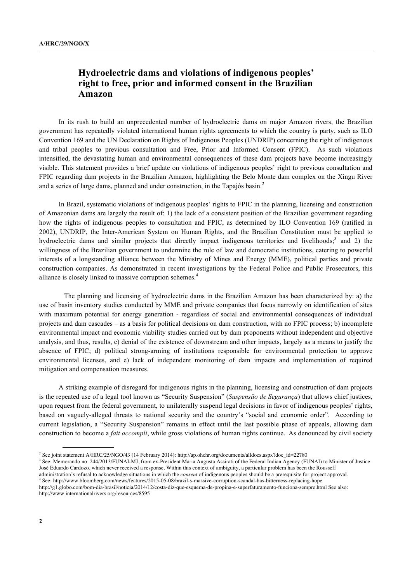# **Hydroelectric dams and violations of indigenous peoples' right to free, prior and informed consent in the Brazilian Amazon**

In its rush to build an unprecedented number of hydroelectric dams on major Amazon rivers, the Brazilian government has repeatedly violated international human rights agreements to which the country is party, such as ILO Convention 169 and the UN Declaration on Rights of Indigenous Peoples (UNDRIP) concerning the right of indigenous and tribal peoples to previous consultation and Free, Prior and Informed Consent (FPIC). As such violations intensified, the devastating human and environmental consequences of these dam projects have become increasingly visible. This statement provides a brief update on violations of indigenous peoples' right to previous consultation and FPIC regarding dam projects in the Brazilian Amazon, highlighting the Belo Monte dam complex on the Xingu River and a series of large dams, planned and under construction, in the Tapajós basin.<sup>2</sup>

In Brazil, systematic violations of indigenous peoples' rights to FPIC in the planning, licensing and construction of Amazonian dams are largely the result of: 1) the lack of a consistent position of the Brazilian government regarding how the rights of indigenous peoples to consultation and FPIC, as determined by ILO Convention 169 (ratified in 2002), UNDRIP, the Inter-American System on Human Rights, and the Brazilian Constitution must be applied to hydroelectric dams and similar projects that directly impact indigenous territories and livelihoods;<sup>3</sup> and 2) the willingness of the Brazilian government to undermine the rule of law and democratic institutions, catering to powerful interests of a longstanding alliance between the Ministry of Mines and Energy (MME), political parties and private construction companies. As demonstrated in recent investigations by the Federal Police and Public Prosecutors, this alliance is closely linked to massive corruption schemes.<sup>4</sup>

The planning and licensing of hydroelectric dams in the Brazilian Amazon has been characterized by: a) the use of basin inventory studies conducted by MME and private companies that focus narrowly on identification of sites with maximum potential for energy generation - regardless of social and environmental consequences of individual projects and dam cascades – as a basis for political decisions on dam construction, with no FPIC process; b) incomplete environmental impact and economic viability studies carried out by dam proponents without independent and objective analysis, and thus, results, c) denial of the existence of downstream and other impacts, largely as a means to justify the absence of FPIC; d) political strong-arming of institutions responsible for environmental protection to approve environmental licenses, and e) lack of independent monitoring of dam impacts and implementation of required mitigation and compensation measures.

A striking example of disregard for indigenous rights in the planning, licensing and construction of dam projects is the repeated use of a legal tool known as "Security Suspension" (*Suspensão de Segurança*) that allows chief justices, upon request from the federal government, to unilaterally suspend legal decisions in favor of indigenous peoples' rights, based on vaguely-alleged threats to national security and the country's "social and economic order". According to current legislation, a "Security Suspension" remains in effect until the last possible phase of appeals, allowing dam construction to become a *fait accompli*, while gross violations of human rights continue. As denounced by civil society

<sup>&</sup>lt;sup>2</sup> See joint statement A/HRC/25/NGO/43 (14 February 2014): http://ap.ohchr.org/documents/alldocs.aspx?doc\_id=22780

<sup>&</sup>lt;sup>3</sup> See: Memorando no. 244/2013/FUNAI-MJ, from ex-President Maria Augusta Assirati of the Federal Indian Agency (FUNAI) to Minister of Justice José Eduardo Cardozo, which never received a response. Within this context of ambiguity, a particular problem has been the Rousseff

administration's refusal to acknowledge situations in which the *consent* of indigenous peoples should be a prerequisite for project approval.

<sup>4</sup> See: http://www.bloomberg.com/news/features/2015-05-08/brazil-s-massive-corruption-scandal-has-bitterness-replacing-hope

http://g1.globo.com/bom-dia-brasil/noticia/2014/12/costa-diz-que-esquema-de-propina-e-superfaturamento-funciona-sempre.html See also: http://www.internationalrivers.org/resources/8595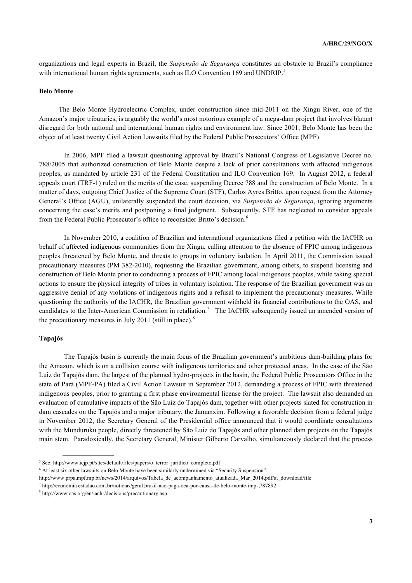organizations and legal experts in Brazil, the *Suspensão de Segurança* constitutes an obstacle to Brazil's compliance with international human rights agreements, such as ILO Convention 169 and UNDRIP.<sup>5</sup>

#### **Belo Monte**

The Belo Monte Hydroelectric Complex, under construction since mid-2011 on the Xingu River, one of the Amazon's major tributaries, is arguably the world's most notorious example of a mega-dam project that involves blatant disregard for both national and international human rights and environment law. Since 2001, Belo Monte has been the object of at least twenty Civil Action Lawsuits filed by the Federal Public Prosecutors' Office (MPF).

In 2006, MPF filed a lawsuit questioning approval by Brazil's National Congress of Legislative Decree no. 788/2005 that authorized construction of Belo Monte despite a lack of prior consultations with affected indigenous peoples, as mandated by article 231 of the Federal Constitution and ILO Convention 169. In August 2012, a federal appeals court (TRF-1) ruled on the merits of the case, suspending Decree 788 and the construction of Belo Monte. In a matter of days, outgoing Chief Justice of the Supreme Court (STF), Carlos Ayres Britto, upon request from the Attorney General's Office (AGU), unilaterally suspended the court decision, via *Suspensão de Segurança*, ignoring arguments concerning the case's merits and postponing a final judgment. Subsequently, STF has neglected to consider appeals from the Federal Public Prosecutor's office to reconsider Britto's decision.<sup>6</sup>

In November 2010, a coalition of Brazilian and international organizations filed a petition with the IACHR on behalf of affected indigenous communities from the Xingu, calling attention to the absence of FPIC among indigenous peoples threatened by Belo Monte, and threats to groups in voluntary isolation. In April 2011, the Commission issued precautionary measures (PM 382-2010), requesting the Brazilian government, among others, to suspend licensing and construction of Belo Monte prior to conducting a process of FPIC among local indigenous peoples, while taking special actions to ensure the physical integrity of tribes in voluntary isolation. The response of the Brazilian government was an aggressive denial of any violations of indigenous rights and a refusal to implement the precautionary measures. While questioning the authority of the IACHR, the Brazilian government withheld its financial contributions to the OAS, and candidates to the Inter-American Commission in retaliation.<sup>7</sup> The IACHR subsequently issued an amended version of the precautionary measures in July 2011 (still in place). $8$ 

### **Tapajós**

The Tapajós basin is currently the main focus of the Brazilian government's ambitious dam-building plans for the Amazon, which is on a collision course with indigenous territories and other protected areas. In the case of the São Luiz do Tapajós dam, the largest of the planned hydro-projects in the basin, the Federal Public Prosecutors Office in the state of Pará (MPF-PA) filed a Civil Action Lawsuit in September 2012, demanding a process of FPIC with threatened indigenous peoples, prior to granting a first phase environmental license for the project. The lawsuit also demanded an evaluation of cumulative impacts of the São Luiz do Tapajós dam, together with other projects slated for construction in dam cascades on the Tapajós and a major tributary, the Jamanxim. Following a favorable decision from a federal judge in November 2012, the Secretary General of the Presidential office announced that it would coordinate consultations with the Munduruku people, directly threatened by São Luiz do Tapajós and other planned dam projects on the Tapajós main stem. Paradoxically, the Secretary General, Minister Gilberto Carvalho, simultaneously declared that the process

<sup>5</sup> See: http://www.icjp.pt/sites/default/files/papers/o\_terror\_juridico\_completo.pdf

<sup>6</sup> At least six other lawsuits on Belo Monte have been similarly undermined via "Security Suspension":

http://www.prpa.mpf.mp.br/news/2014/arquivos/Tabela\_de\_acompanhamento\_atualizada\_Mar\_2014.pdf/at\_download/file

<sup>7</sup> http://economia.estadao.com.br/noticias/geral,brasil-nao-paga-oea-por-causa-de-belo-monte-imp-,787892

<sup>8</sup> http://www.oas.org/en/iachr/decisions/precautionary.asp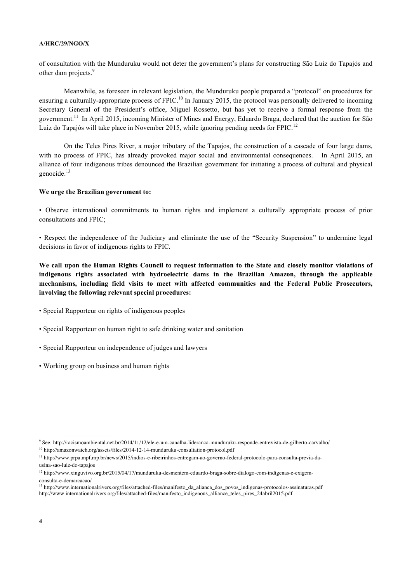of consultation with the Munduruku would not deter the government's plans for constructing São Luiz do Tapajós and other dam projects.<sup>9</sup>

Meanwhile, as foreseen in relevant legislation, the Munduruku people prepared a "protocol" on procedures for ensuring a culturally-appropriate process of FPIC.<sup>10</sup> In January 2015, the protocol was personally delivered to incoming Secretary General of the President's office, Miguel Rossetto, but has yet to receive a formal response from the government.11 In April 2015, incoming Minister of Mines and Energy, Eduardo Braga, declared that the auction for São Luiz do Tapajós will take place in November 2015, while ignoring pending needs for FPIC.<sup>12</sup>

On the Teles Pires River, a major tributary of the Tapajos, the construction of a cascade of four large dams, with no process of FPIC, has already provoked major social and environmental consequences. In April 2015, an alliance of four indigenous tribes denounced the Brazilian government for initiating a process of cultural and physical genocide.<sup>13</sup>

#### **We urge the Brazilian government to:**

• Observe international commitments to human rights and implement a culturally appropriate process of prior consultations and FPIC;

• Respect the independence of the Judiciary and eliminate the use of the "Security Suspension" to undermine legal decisions in favor of indigenous rights to FPIC.

**We call upon the Human Rights Council to request information to the State and closely monitor violations of indigenous rights associated with hydroelectric dams in the Brazilian Amazon, through the applicable mechanisms, including field visits to meet with affected communities and the Federal Public Prosecutors, involving the following relevant special procedures:**

• Special Rapporteur on rights of indigenous peoples

- Special Rapporteur on human right to safe drinking water and sanitation
- Special Rapporteur on independence of judges and lawyers
- Working group on business and human rights

<sup>9</sup> See: http://racismoambiental.net.br/2014/11/12/ele-e-um-canalha-lideranca-munduruku-responde-entrevista-de-gilberto-carvalho/ <sup>10</sup> http://amazonwatch.org/assets/files/2014-12-14-munduruku-consultation-protocol.pdf

<sup>11</sup> http://www.prpa.mpf.mp.br/news/2015/indios-e-ribeirinhos-entregam-ao-governo-federal-protocolo-para-consulta-previa-dausina-sao-luiz-do-tapajos

<sup>12</sup> http://www.xinguvivo.org.br/2015/04/17/munduruku-desmentem-eduardo-braga-sobre-dialogo-com-indigenas-e-exigemconsulta-e-demarcacao/

<sup>13</sup> http://www.internationalrivers.org/files/attached-files/manifesto\_da\_alianca\_dos\_povos\_indigenas-protocolos-assinaturas.pdf http://www.internationalrivers.org/files/attached-files/manifesto\_indigenous\_alliance\_teles\_pires\_24abril2015.pdf